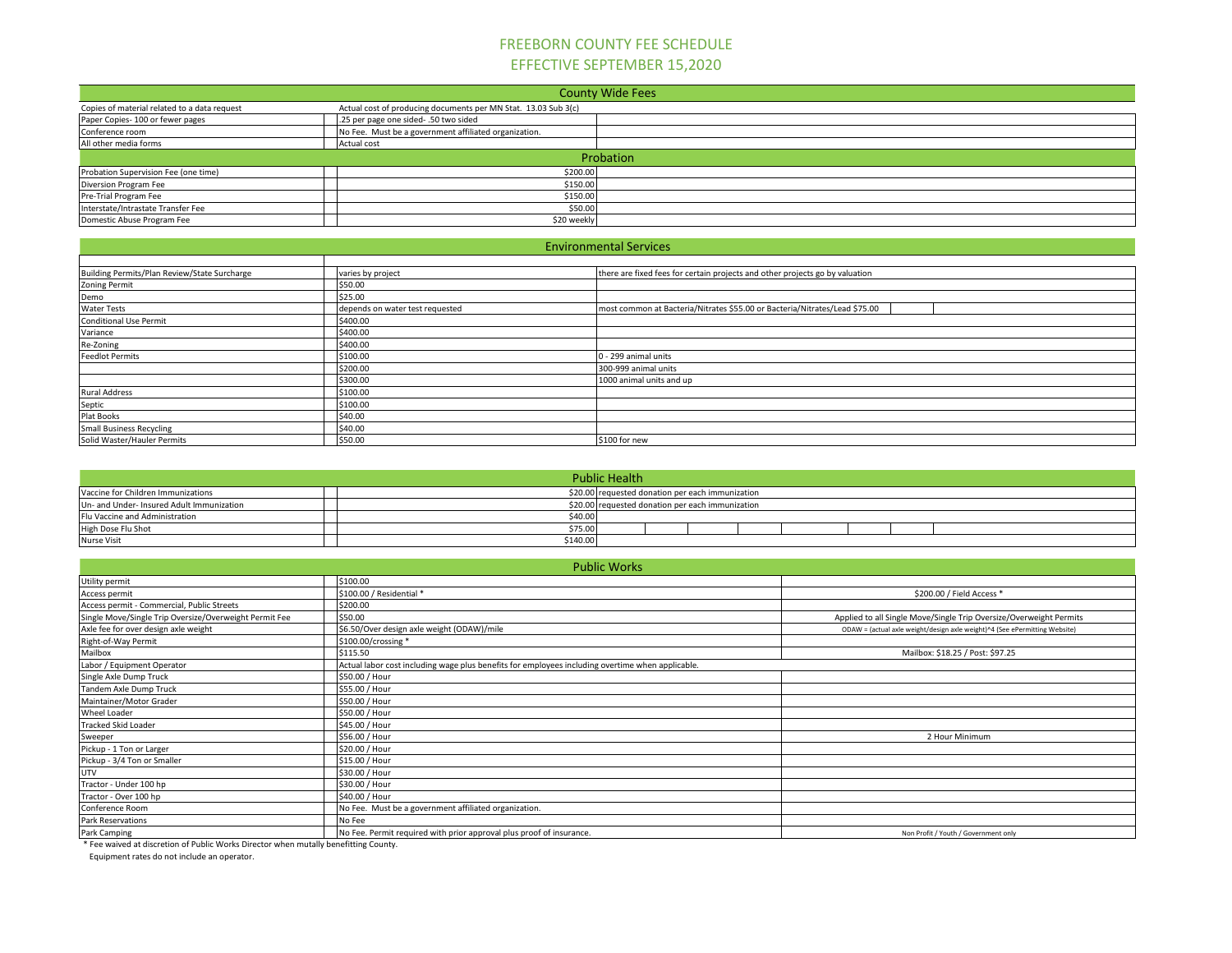## FREEBORN COUNTY FEE SCHEDULE EFFECTIVE SEPTEMBER 15,2020

|                                              |                                                                | <b>County Wide Fees</b> |  |  |
|----------------------------------------------|----------------------------------------------------------------|-------------------------|--|--|
| Copies of material related to a data request | Actual cost of producing documents per MN Stat. 13.03 Sub 3(c) |                         |  |  |
| Paper Copies- 100 or fewer pages             | .25 per page one sided-.50 two sided                           |                         |  |  |
| Conference room                              | No Fee. Must be a government affiliated organization.          |                         |  |  |
| All other media forms                        | Actual cost                                                    |                         |  |  |
| Probation                                    |                                                                |                         |  |  |
| Probation Supervision Fee (one time)         | \$200.00                                                       |                         |  |  |
| Diversion Program Fee                        | \$150.00                                                       |                         |  |  |
| Pre-Trial Program Fee                        | \$150.00                                                       |                         |  |  |
| Interstate/Intrastate Transfer Fee           | \$50.00                                                        |                         |  |  |
| Domestic Abuse Program Fee                   | \$20 weekly                                                    |                         |  |  |

|                                              |                                 | <b>Environmental Services</b>                                                |
|----------------------------------------------|---------------------------------|------------------------------------------------------------------------------|
|                                              |                                 |                                                                              |
| Building Permits/Plan Review/State Surcharge | varies by project               | there are fixed fees for certain projects and other projects go by valuation |
| <b>Zoning Permit</b>                         | \$50.00                         |                                                                              |
| Demo                                         | \$25.00                         |                                                                              |
| <b>Water Tests</b>                           | depends on water test requested | most common at Bacteria/Nitrates \$55.00 or Bacteria/Nitrates/Lead \$75.00   |
| <b>Conditional Use Permit</b>                | \$400.00                        |                                                                              |
| Variance                                     | \$400.00                        |                                                                              |
| Re-Zoning                                    | \$400.00                        |                                                                              |
| <b>Feedlot Permits</b>                       | \$100.00                        | J - 299 animal units                                                         |
|                                              | \$200.00                        | 300-999 animal units                                                         |
|                                              | \$300.00                        | 1000 animal units and up                                                     |
| <b>Rural Address</b>                         | \$100.00                        |                                                                              |
| Septic                                       | \$100.00                        |                                                                              |
| Plat Books                                   | \$40.00                         |                                                                              |
| <b>Small Business Recycling</b>              | \$40.00                         |                                                                              |
| Solid Waster/Hauler Permits                  | \$50.00                         | \$100 for new                                                                |

|                                           |          | <b>Public Health</b>                             |
|-------------------------------------------|----------|--------------------------------------------------|
| Vaccine for Children Immunizations        |          | \$20.00 requested donation per each immunization |
| Un- and Under- Insured Adult Immunization |          | \$20.00 requested donation per each immunization |
| Flu Vaccine and Administration            | \$40.00  |                                                  |
| High Dose Flu Shot                        | \$75.00  |                                                  |
| <b>Nurse Visit</b>                        | \$140.00 |                                                  |

|                                                                                      | <b>Public Works</b>                                                                              |                                                                            |
|--------------------------------------------------------------------------------------|--------------------------------------------------------------------------------------------------|----------------------------------------------------------------------------|
| Utility permit                                                                       | \$100.00                                                                                         |                                                                            |
| Access permit                                                                        | \$100.00 / Residential *                                                                         | \$200.00 / Field Access *                                                  |
| Access permit - Commercial, Public Streets                                           | \$200.00                                                                                         |                                                                            |
| Single Move/Single Trip Oversize/Overweight Permit Fee                               | \$50.00                                                                                          | Applied to all Single Move/Single Trip Oversize/Overweight Permits         |
| Axle fee for over design axle weight                                                 | \$6.50/Over design axle weight (ODAW)/mile                                                       | ODAW = (actual axle weight/design axle weight)^4 (See ePermitting Website) |
| Right-of-Way Permit                                                                  | \$100.00/crossing *                                                                              |                                                                            |
| Mailbox                                                                              | \$115.50                                                                                         | Mailbox: \$18.25 / Post: \$97.25                                           |
| Labor / Equipment Operator                                                           | Actual labor cost including wage plus benefits for employees including overtime when applicable. |                                                                            |
| Single Axle Dump Truck                                                               | \$50.00 / Hour                                                                                   |                                                                            |
| Tandem Axle Dump Truck                                                               | \$55.00 / Hour                                                                                   |                                                                            |
| Maintainer/Motor Grader                                                              | \$50.00 / Hour                                                                                   |                                                                            |
| Wheel Loader                                                                         | \$50.00 / Hour                                                                                   |                                                                            |
| <b>Tracked Skid Loader</b>                                                           | \$45.00 / Hour                                                                                   |                                                                            |
| Sweeper                                                                              | \$56.00 / Hour                                                                                   | 2 Hour Minimum                                                             |
| Pickup - 1 Ton or Larger                                                             | \$20.00 / Hour                                                                                   |                                                                            |
| Pickup - 3/4 Ton or Smaller                                                          | \$15.00 / Hour                                                                                   |                                                                            |
| UTV                                                                                  | \$30.00 / Hour                                                                                   |                                                                            |
| Tractor - Under 100 hp                                                               | \$30.00 / Hour                                                                                   |                                                                            |
| Tractor - Over 100 hp                                                                | \$40.00 / Hour                                                                                   |                                                                            |
| Conference Room                                                                      | No Fee. Must be a government affiliated organization.                                            |                                                                            |
| Park Reservations                                                                    | No Fee                                                                                           |                                                                            |
| Park Camping                                                                         | No Fee. Permit required with prior approval plus proof of insurance.                             | Non Profit / Youth / Government only                                       |
| * Fee waived at discretion of Public Works Director when mutally benefitting County. |                                                                                                  |                                                                            |

Equipment rates do not include an operator.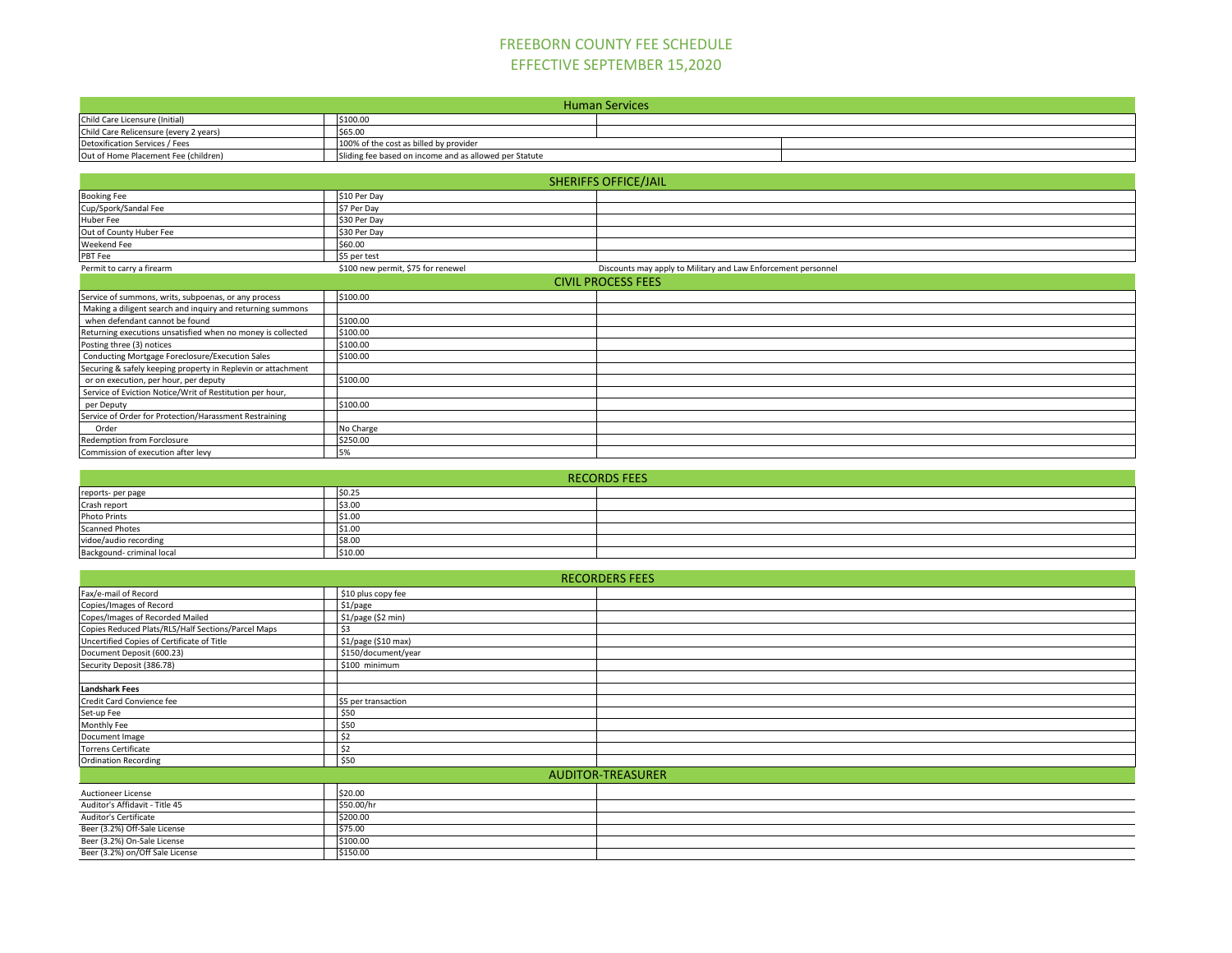## FREEBORN COUNTY FEE SCHEDULE EFFECTIVE SEPTEMBER 15,2020

|                                                              |                                                        | <b>Human Services</b>                                         |  |  |
|--------------------------------------------------------------|--------------------------------------------------------|---------------------------------------------------------------|--|--|
| Child Care Licensure (Initial)                               | \$100.00                                               |                                                               |  |  |
| Child Care Relicensure (every 2 years)                       | \$65.00                                                |                                                               |  |  |
| Detoxification Services / Fees                               | 100% of the cost as billed by provider                 |                                                               |  |  |
| Out of Home Placement Fee (children)                         | Sliding fee based on income and as allowed per Statute |                                                               |  |  |
|                                                              |                                                        |                                                               |  |  |
|                                                              |                                                        | <b>SHERIFFS OFFICE/JAIL</b>                                   |  |  |
| <b>Booking Fee</b>                                           | \$10 Per Day                                           |                                                               |  |  |
| Cup/Spork/Sandal Fee                                         | \$7 Per Day                                            |                                                               |  |  |
| <b>Huber Fee</b>                                             | \$30 Per Day                                           |                                                               |  |  |
| Out of County Huber Fee                                      | \$30 Per Day                                           |                                                               |  |  |
| Weekend Fee                                                  | \$60.00                                                |                                                               |  |  |
| PBT Fee                                                      | \$5 per test                                           |                                                               |  |  |
| Permit to carry a firearm                                    | \$100 new permit, \$75 for renewel                     | Discounts may apply to Military and Law Enforcement personnel |  |  |
|                                                              |                                                        | <b>CIVIL PROCESS FEES</b>                                     |  |  |
| Service of summons, writs, subpoenas, or any process         | \$100.00                                               |                                                               |  |  |
| Making a diligent search and inquiry and returning summons   |                                                        |                                                               |  |  |
| when defendant cannot be found                               | \$100.00                                               |                                                               |  |  |
| Returning executions unsatisfied when no money is collected  | \$100.00                                               |                                                               |  |  |
| Posting three (3) notices                                    | \$100.00                                               |                                                               |  |  |
| Conducting Mortgage Foreclosure/Execution Sales              | \$100.00                                               |                                                               |  |  |
| Securing & safely keeping property in Replevin or attachment |                                                        |                                                               |  |  |
| or on execution, per hour, per deputy                        | \$100.00                                               |                                                               |  |  |

| <b>RECORDS FEES</b>       |         |  |  |  |
|---------------------------|---------|--|--|--|
| reports- per page         | \$0.25  |  |  |  |
| Crash report              | \$3.00  |  |  |  |
| <b>Photo Prints</b>       | \$1.00  |  |  |  |
| <b>Scanned Photes</b>     | \$1.00  |  |  |  |
| vidoe/audio recording     | \$8.00  |  |  |  |
| Backgound- criminal local | \$10.00 |  |  |  |

Service of Eviction Notice/Writ of Restitution per hour,

Service of Order for Protection/Harassment Restraining

Commission of execution after levy

per Deputy \$100.00

Order No Charge No Charge No Charge No Charge No Charge No Charge No Charge No Charge No Charge No Charge No Charge No Charge No Charge No Charge No Charge No Charge No Charge No Charge No Charge No Charge No Charge No Cha Redemption from Forclosure \$250.000 Space \$250.000 Space \$250.000 Space \$250.000 Space \$250.000 Space \$250.000 Space \$250.000 Space \$250.000 Space \$250.000 Space \$250.000 Space \$250.000 Space \$250.000 Space \$250.000 Space

|                                                    |                     | <b>RECORDERS FEES</b> |  |  |
|----------------------------------------------------|---------------------|-----------------------|--|--|
| Fax/e-mail of Record                               | \$10 plus copy fee  |                       |  |  |
| Copies/Images of Record                            | \$1/page            |                       |  |  |
| Copes/Images of Recorded Mailed                    | \$1/page (\$2 min)  |                       |  |  |
| Copies Reduced Plats/RLS/Half Sections/Parcel Maps | \$3                 |                       |  |  |
| Uncertified Copies of Certificate of Title         | \$1/page (\$10 max) |                       |  |  |
| Document Deposit (600.23)                          | \$150/document/year |                       |  |  |
| Security Deposit (386.78)                          | \$100 minimum       |                       |  |  |
|                                                    |                     |                       |  |  |
| <b>Landshark Fees</b>                              |                     |                       |  |  |
| Credit Card Convience fee                          | \$5 per transaction |                       |  |  |
| Set-up Fee                                         | \$50                |                       |  |  |
| Monthly Fee                                        | \$50                |                       |  |  |
| Document Image                                     | \$2                 |                       |  |  |
| <b>Torrens Certificate</b>                         | \$2                 |                       |  |  |
| <b>Ordination Recording</b>                        | \$50                |                       |  |  |
| <b>AUDITOR-TREASURER</b>                           |                     |                       |  |  |
| <b>Auctioneer License</b>                          | \$20.00             |                       |  |  |
| Auditor's Affidavit - Title 45                     | \$50.00/hr          |                       |  |  |
| Auditor's Certificate                              | \$200.00            |                       |  |  |
| Beer (3.2%) Off-Sale License                       | \$75.00             |                       |  |  |
| Beer (3.2%) On-Sale License                        | \$100.00            |                       |  |  |
| Beer (3.2%) on/Off Sale License                    | \$150.00            |                       |  |  |